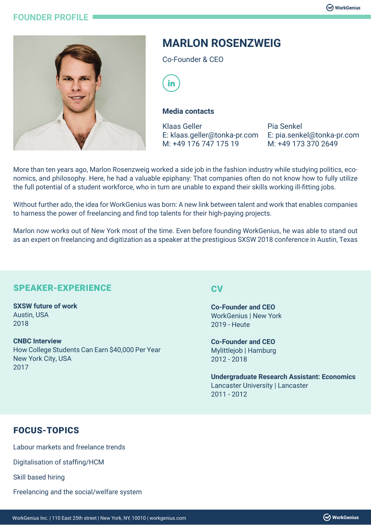### **FOUNDER PROFILE**



# **MARLON ROSENZWEIG**

Co-Founder & CEO



#### **Media contacts**

Klaas Geller E: klaas.geller@tonka-pr.com M: +49 176 747 175 19

Pia Senkel E: pia.senkel@tonka-pr.com M: +49 173 370 2649

More than ten years ago, Marlon Rosenzweig worked a side job in the fashion industry while studying politics, economics, and philosophy. Here, he had a valuable epiphany: That companies often do not know how to fully utilize the full potential of a student workforce, who in turn are unable to expand their skills working ill-fitting jobs.

Without further ado, the idea for WorkGenius was born: A new link between talent and work that enables companies to harness the power of freelancing and find top talents for their high-paying projects.

Marlon now works out of New York most of the time. Even before founding WorkGenius, he was able to stand out as an expert on freelancing and digitization as a speaker at the prestigious SXSW 2018 conference in Austin, Texas

## SPEAKER-EXPERIENCE

### **SXSW future of work**

Austin, USA 2018

#### **CNBC Interview**

How College Students Can Earn \$40,000 Per Year New York City, USA 2017

### **CV**

**Co-Founder and CEO** WorkGenius | New York 2019 - Heute

**Co-Founder and CEO** Mylittlejob | Hamburg 2012 - 2018

**Undergraduate Research Assistant: Economics** Lancaster University | Lancaster 2011 - 2012

## FOCUS-TOPICS

Labour markets and freelance trends Digitalisation of staffing/HCM Skill based hiring

Freelancing and the social/welfare system